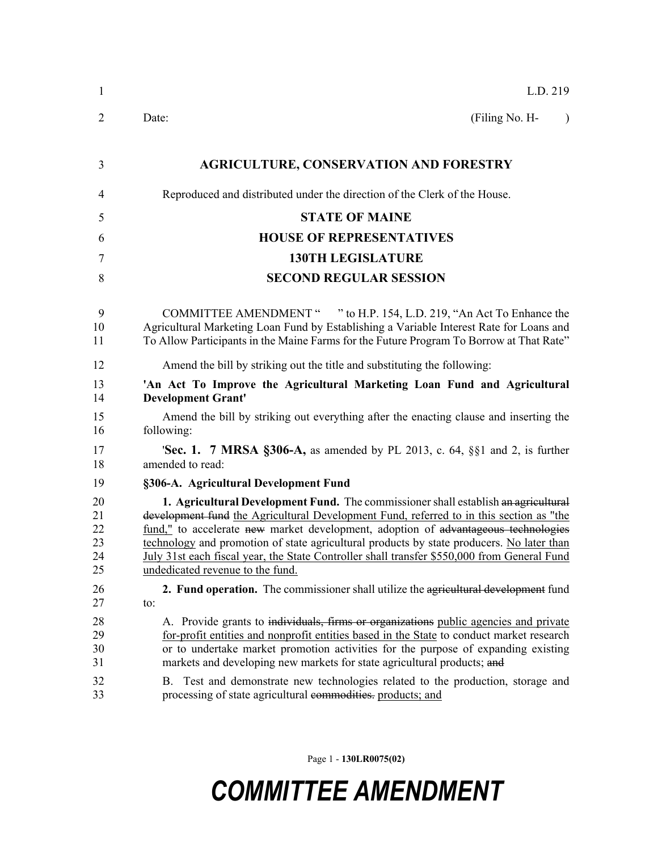| $\mathbf{1}$                           | L.D. 219                                                                                                                                                                                                                                                                                                                                                                                                                                                                                                  |  |  |  |
|----------------------------------------|-----------------------------------------------------------------------------------------------------------------------------------------------------------------------------------------------------------------------------------------------------------------------------------------------------------------------------------------------------------------------------------------------------------------------------------------------------------------------------------------------------------|--|--|--|
| 2                                      | Date:<br>(Filing No. H-<br>$\lambda$                                                                                                                                                                                                                                                                                                                                                                                                                                                                      |  |  |  |
| 3                                      | <b>AGRICULTURE, CONSERVATION AND FORESTRY</b>                                                                                                                                                                                                                                                                                                                                                                                                                                                             |  |  |  |
| 4                                      | Reproduced and distributed under the direction of the Clerk of the House.                                                                                                                                                                                                                                                                                                                                                                                                                                 |  |  |  |
| 5                                      | <b>STATE OF MAINE</b>                                                                                                                                                                                                                                                                                                                                                                                                                                                                                     |  |  |  |
| 6                                      | <b>HOUSE OF REPRESENTATIVES</b>                                                                                                                                                                                                                                                                                                                                                                                                                                                                           |  |  |  |
| 7                                      | <b>130TH LEGISLATURE</b>                                                                                                                                                                                                                                                                                                                                                                                                                                                                                  |  |  |  |
| 8                                      | <b>SECOND REGULAR SESSION</b>                                                                                                                                                                                                                                                                                                                                                                                                                                                                             |  |  |  |
| 9<br>10<br>11                          | COMMITTEE AMENDMENT " " to H.P. 154, L.D. 219, "An Act To Enhance the<br>Agricultural Marketing Loan Fund by Establishing a Variable Interest Rate for Loans and<br>To Allow Participants in the Maine Farms for the Future Program To Borrow at That Rate"                                                                                                                                                                                                                                               |  |  |  |
| 12                                     | Amend the bill by striking out the title and substituting the following:                                                                                                                                                                                                                                                                                                                                                                                                                                  |  |  |  |
| 13<br>14                               | 'An Act To Improve the Agricultural Marketing Loan Fund and Agricultural<br><b>Development Grant'</b>                                                                                                                                                                                                                                                                                                                                                                                                     |  |  |  |
| 15<br>16                               | Amend the bill by striking out everything after the enacting clause and inserting the<br>following:                                                                                                                                                                                                                                                                                                                                                                                                       |  |  |  |
| 17<br>18                               | <b>Sec. 1. 7 MRSA §306-A,</b> as amended by PL 2013, c. 64, §§1 and 2, is further<br>amended to read:                                                                                                                                                                                                                                                                                                                                                                                                     |  |  |  |
| 19                                     | §306-A. Agricultural Development Fund                                                                                                                                                                                                                                                                                                                                                                                                                                                                     |  |  |  |
| 20<br>21<br>22<br>23<br>24<br>25       | 1. Agricultural Development Fund. The commissioner shall establish an agricultural<br>development fund the Agricultural Development Fund, referred to in this section as "the<br>fund," to accelerate new market development, adoption of advantageous technologies<br>technology and promotion of state agricultural products by state producers. No later than<br>July 31st each fiscal year, the State Controller shall transfer \$550,000 from General Fund<br>undedicated revenue to the fund.       |  |  |  |
| 26                                     | 2. Fund operation. The commissioner shall utilize the agricultural development fund                                                                                                                                                                                                                                                                                                                                                                                                                       |  |  |  |
| 27<br>28<br>29<br>30<br>31<br>32<br>33 | to:<br>A. Provide grants to individuals, firms or organizations public agencies and private<br>for-profit entities and nonprofit entities based in the State to conduct market research<br>or to undertake market promotion activities for the purpose of expanding existing<br>markets and developing new markets for state agricultural products; and<br>B. Test and demonstrate new technologies related to the production, storage and<br>processing of state agricultural commodities. products; and |  |  |  |

Page 1 - **130LR0075(02)**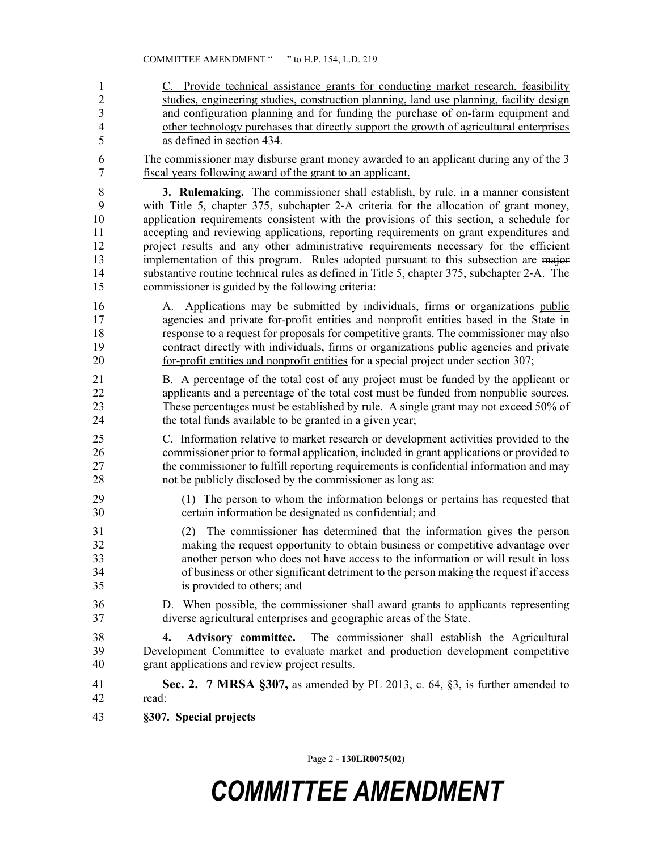1 C. Provide technical assistance grants for conducting market research, feasibility 2 studies, engineering studies, construction planning, land use planning, facility design 3 and configuration planning and for funding the purchase of on-farm equipment and 4 other technology purchases that directly support the growth of agricultural enterprises 5 as defined in section 434. 6 The commissioner may disburse grant money awarded to an applicant during any of the 3 7 fiscal years following award of the grant to an applicant. 8 **3. Rulemaking.** The commissioner shall establish, by rule, in a manner consistent 9 with Title 5, chapter 375, subchapter 2‑A criteria for the allocation of grant money, 10 application requirements consistent with the provisions of this section, a schedule for 11 accepting and reviewing applications, reporting requirements on grant expenditures and 12 project results and any other administrative requirements necessary for the efficient 13 implementation of this program. Rules adopted pursuant to this subsection are major 14 substantive routine technical rules as defined in Title 5, chapter 375, subchapter 2‑A. The 15 commissioner is guided by the following criteria: 16 A. Applications may be submitted by individuals, firms or organizations public 17 agencies and private for-profit entities and nonprofit entities based in the State in 18 response to a request for proposals for competitive grants. The commissioner may also 19 contract directly with individuals, firms or organizations public agencies and private 20 for-profit entities and nonprofit entities for a special project under section 307; 21 B. A percentage of the total cost of any project must be funded by the applicant or 22 applicants and a percentage of the total cost must be funded from nonpublic sources. 23 These percentages must be established by rule. A single grant may not exceed 50% of 24 the total funds available to be granted in a given year; 25 C. Information relative to market research or development activities provided to the 26 commissioner prior to formal application, included in grant applications or provided to 27 the commissioner to fulfill reporting requirements is confidential information and may 28 not be publicly disclosed by the commissioner as long as: 29 (1) The person to whom the information belongs or pertains has requested that 30 certain information be designated as confidential; and 31 (2) The commissioner has determined that the information gives the person 32 making the request opportunity to obtain business or competitive advantage over 33 another person who does not have access to the information or will result in loss 34 of business or other significant detriment to the person making the request if access 35 is provided to others; and 36 D. When possible, the commissioner shall award grants to applicants representing diverse agricultural enterprises and geographic areas of the State. diverse agricultural enterprises and geographic areas of the State. 38 **4. Advisory committee.** The commissioner shall establish the Agricultural 39 Development Committee to evaluate market and production development competitive 40 grant applications and review project results. 41 **Sec. 2. 7 MRSA §307,** as amended by PL 2013, c. 64, §3, is further amended to 42 read: 43 **§307. Special projects**

Page 2 - **130LR0075(02)**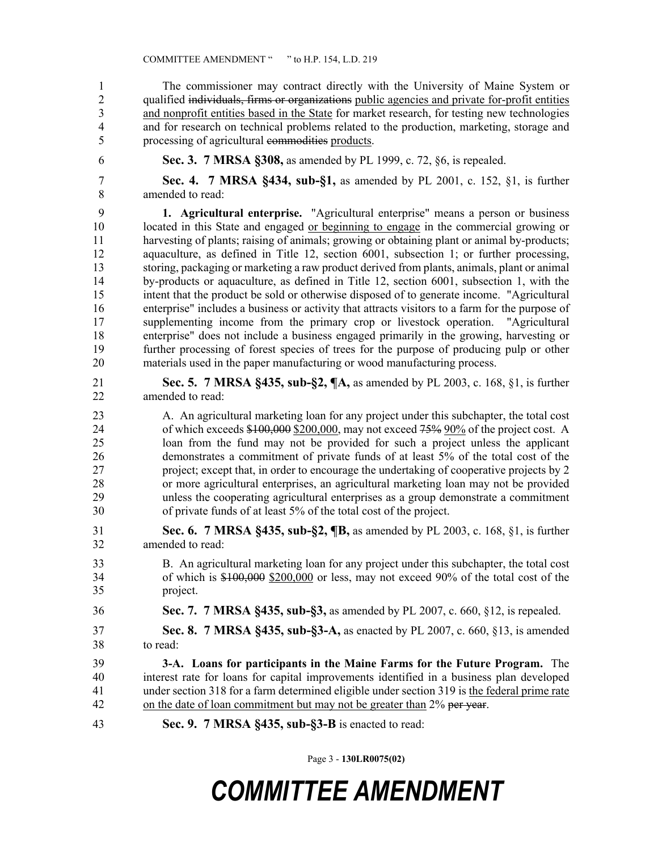1 The commissioner may contract directly with the University of Maine System or 2 qualified individuals, firms or organizations public agencies and private for-profit entities 3 and nonprofit entities based in the State for market research, for testing new technologies 4 and for research on technical problems related to the production, marketing, storage and 5 processing of agricultural commodities products.

- 
- 

6 **Sec. 3. 7 MRSA §308,** as amended by PL 1999, c. 72, §6, is repealed.

7 **Sec. 4. 7 MRSA §434, sub-§1,** as amended by PL 2001, c. 152, §1, is further 8 amended to read:

9 **1. Agricultural enterprise.** "Agricultural enterprise" means a person or business 10 located in this State and engaged or beginning to engage in the commercial growing or 11 harvesting of plants; raising of animals; growing or obtaining plant or animal by-products; 12 aquaculture, as defined in Title 12, section 6001, subsection 1; or further processing, 13 storing, packaging or marketing a raw product derived from plants, animals, plant or animal 14 by-products or aquaculture, as defined in Title 12, section 6001, subsection 1, with the 15 intent that the product be sold or otherwise disposed of to generate income. "Agricultural 16 enterprise" includes a business or activity that attracts visitors to a farm for the purpose of 17 supplementing income from the primary crop or livestock operation. "Agricultural 18 enterprise" does not include a business engaged primarily in the growing, harvesting or 19 further processing of forest species of trees for the purpose of producing pulp or other 20 materials used in the paper manufacturing or wood manufacturing process.

- 21 **Sec. 5. 7 MRSA §435, sub-§2, ¶A,** as amended by PL 2003, c. 168, §1, is further 22 amended to read:
- 23 A. An agricultural marketing loan for any project under this subchapter, the total cost 24 of which exceeds  $$100,000,$  may not exceed 75% 90% of the project cost. A 25 loan from the fund may not be provided for such a project unless the applicant 26 demonstrates a commitment of private funds of at least 5% of the total cost of the 27 project; except that, in order to encourage the undertaking of cooperative projects by 2 28 or more agricultural enterprises, an agricultural marketing loan may not be provided 29 unless the cooperating agricultural enterprises as a group demonstrate a commitment 30 of private funds of at least 5% of the total cost of the project.
- 31 **Sec. 6. 7 MRSA §435, sub-§2, ¶B,** as amended by PL 2003, c. 168, §1, is further 32 amended to read:
- 33 B. An agricultural marketing loan for any project under this subchapter, the total cost 34 of which is  $$100,000$   $$200,000$  or less, may not exceed 90% of the total cost of the 35 project.
- 36 **Sec. 7. 7 MRSA §435, sub-§3,** as amended by PL 2007, c. 660, §12, is repealed.
- 37 **Sec. 8. 7 MRSA §435, sub-§3-A,** as enacted by PL 2007, c. 660, §13, is amended 38 to read:
- 39 **3-A. Loans for participants in the Maine Farms for the Future Program.** The 40 interest rate for loans for capital improvements identified in a business plan developed 41 under section 318 for a farm determined eligible under section 319 is the federal prime rate 42 on the date of loan commitment but may not be greater than 2% per year.
- 43 **Sec. 9. 7 MRSA §435, sub-§3-B** is enacted to read:

Page 3 - **130LR0075(02)**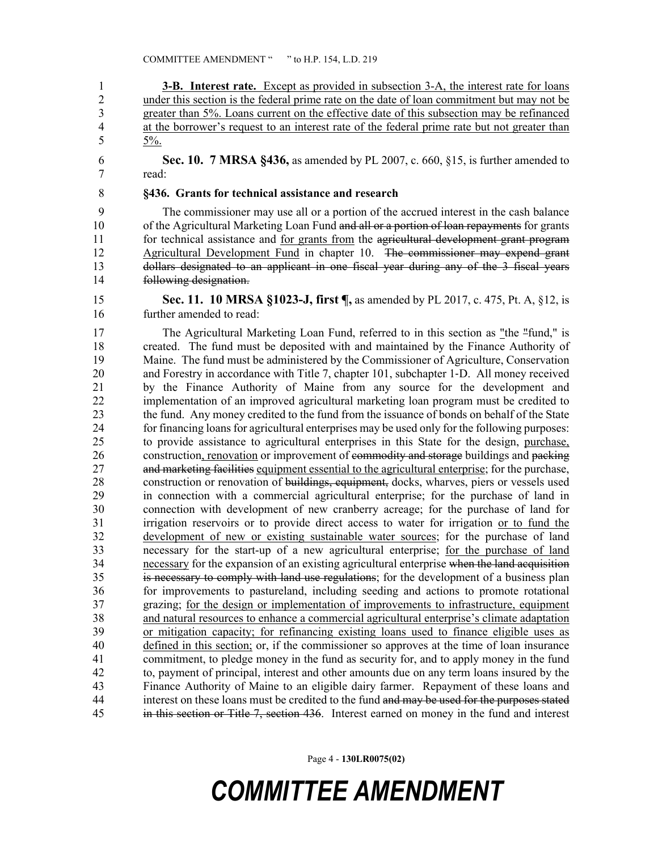1 **3-B.** Interest rate. Except as provided in subsection 3-A, the interest rate for loans 2 under this section is the federal prime rate on the date of loan commitment but may not be greater than 5%. Loans current on the effective date of this subsection may be refinanced 3 greater than 5%. Loans current on the effective date of this subsection may be refinanced 4 at the borrower's request to an interest rate of the federal prime rate but not greater than 5  $5\%$ .

6 **Sec. 10. 7 MRSA §436,** as amended by PL 2007, c. 660, §15, is further amended to 7 read:

#### 8 **§436. Grants for technical assistance and research**

9 The commissioner may use all or a portion of the accrued interest in the cash balance 10 of the Agricultural Marketing Loan Fund and all or a portion of loan repayments for grants 11 for technical assistance and for grants from the agricultural development grant program 12 Agricultural Development Fund in chapter 10. The commissioner may expend grant 13 dollars designated to an applicant in one fiscal year during any of the 3 fiscal years 14 following designation.

15 **Sec. 11. 10 MRSA §1023-J, first ¶,** as amended by PL 2017, c. 475, Pt. A, §12, is 16 further amended to read:

17 The Agricultural Marketing Loan Fund, referred to in this section as "the "fund," is 18 created. The fund must be deposited with and maintained by the Finance Authority of 19 Maine. The fund must be administered by the Commissioner of Agriculture, Conservation 20 and Forestry in accordance with Title 7, chapter 101, subchapter 1-D. All money received 21 by the Finance Authority of Maine from any source for the development and 22 implementation of an improved agricultural marketing loan program must be credited to 23 the fund. Any money credited to the fund from the issuance of bonds on behalf of the State 24 for financing loans for agricultural enterprises may be used only for the following purposes: 25 to provide assistance to agricultural enterprises in this State for the design, purchase, 26 construction, renovation or improvement of commodity and storage buildings and packing 27 and marketing facilities equipment essential to the agricultural enterprise; for the purchase, 28 construction or renovation of buildings, equipment, docks, wharves, piers or vessels used 29 in connection with a commercial agricultural enterprise; for the purchase of land in 30 connection with development of new cranberry acreage; for the purchase of land for 31 irrigation reservoirs or to provide direct access to water for irrigation or to fund the 32 development of new or existing sustainable water sources; for the purchase of land 33 necessary for the start-up of a new agricultural enterprise; for the purchase of land 34 necessary for the expansion of an existing agricultural enterprise when the land acquisition 35 is necessary to comply with land use regulations; for the development of a business plan 36 for improvements to pastureland, including seeding and actions to promote rotational 37 grazing; for the design or implementation of improvements to infrastructure, equipment 38 and natural resources to enhance a commercial agricultural enterprise's climate adaptation 39 or mitigation capacity; for refinancing existing loans used to finance eligible uses as 40 defined in this section; or, if the commissioner so approves at the time of loan insurance 41 commitment, to pledge money in the fund as security for, and to apply money in the fund 42 to, payment of principal, interest and other amounts due on any term loans insured by the 43 Finance Authority of Maine to an eligible dairy farmer. Repayment of these loans and 44 interest on these loans must be credited to the fund and may be used for the purposes stated 45 in this section or Title 7, section 436. Interest earned on money in the fund and interest

Page 4 - **130LR0075(02)**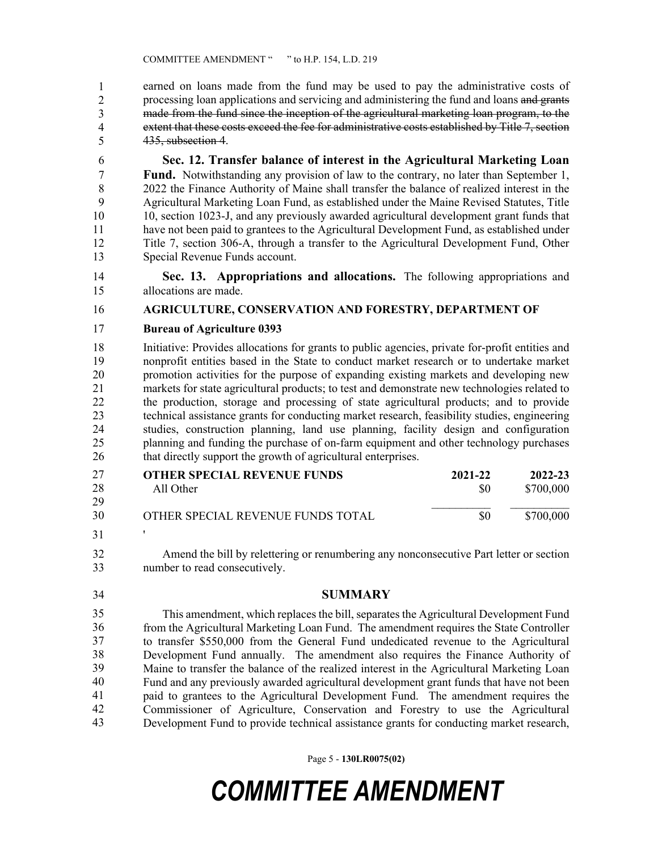earned on loans made from the fund may be used to pay the administrative costs of processing loan applications and servicing and administering the fund and loans and grants made from the fund since the inception of the agricultural marketing loan program, to the extent that these costs exceed the fee for administrative costs established by Title 7, section 435, subsection 4. 1 2 3 4 5

6 **Sec. 12. Transfer balance of interest in the Agricultural Marketing Loan**  7 **Fund.** Notwithstanding any provision of law to the contrary, no later than September 1, 8 2022 the Finance Authority of Maine shall transfer the balance of realized interest in the 9 Agricultural Marketing Loan Fund, as established under the Maine Revised Statutes, Title 10 10, section 1023-J, and any previously awarded agricultural development grant funds that 11 have not been paid to grantees to the Agricultural Development Fund, as established under 12 Title 7, section 306-A, through a transfer to the Agricultural Development Fund, Other 13 Special Revenue Funds account.

14 **Sec. 13. Appropriations and allocations.** The following appropriations and 15 allocations are made.

#### 16 **AGRICULTURE, CONSERVATION AND FORESTRY, DEPARTMENT OF**

#### 17 **Bureau of Agriculture 0393**

18 Initiative: Provides allocations for grants to public agencies, private for-profit entities and 19 nonprofit entities based in the State to conduct market research or to undertake market 20 promotion activities for the purpose of expanding existing markets and developing new 21 markets for state agricultural products; to test and demonstrate new technologies related to 22 the production, storage and processing of state agricultural products; and to provide 23 technical assistance grants for conducting market research, feasibility studies, engineering 24 studies, construction planning, land use planning, facility design and configuration 25 planning and funding the purchase of on-farm equipment and other technology purchases 26 that directly support the growth of agricultural enterprises.

| 27 | <b>OTHER SPECIAL REVENUE FUNDS</b> | 2021-22 | 2022-23   |
|----|------------------------------------|---------|-----------|
| 28 | All Other                          | -80     | \$700,000 |
| 29 |                                    |         |           |
| 30 | OTHER SPECIAL REVENUE FUNDS TOTAL  | \$0     | \$700,000 |
| 31 |                                    |         |           |

32 Amend the bill by relettering or renumbering any nonconsecutive Part letter or section 33 number to read consecutively.

34 **SUMMARY**

This amendment, which replaces the bill, separates the Agricultural Development Fund from the Agricultural Marketing Loan Fund. The amendment requires the State Controller 37 to transfer \$550,000 from the General Fund undedicated revenue to the Agricultural Development Fund annually. The amendment also requires the Finance Authority of Maine to transfer the balance of the realized interest in the Agricultural Marketing Loan 40 Fund and any previously awarded agricultural development grant funds that have not been paid to grantees to the Agricultural Development Fund. The amendment requires the Commissioner of Agriculture, Conservation and Forestry to use the Agricultural Development Fund to provide technical assistance grants for conducting market research, 35 36 37 38 39 40 41 42 43

Page 5 - **130LR0075(02)**